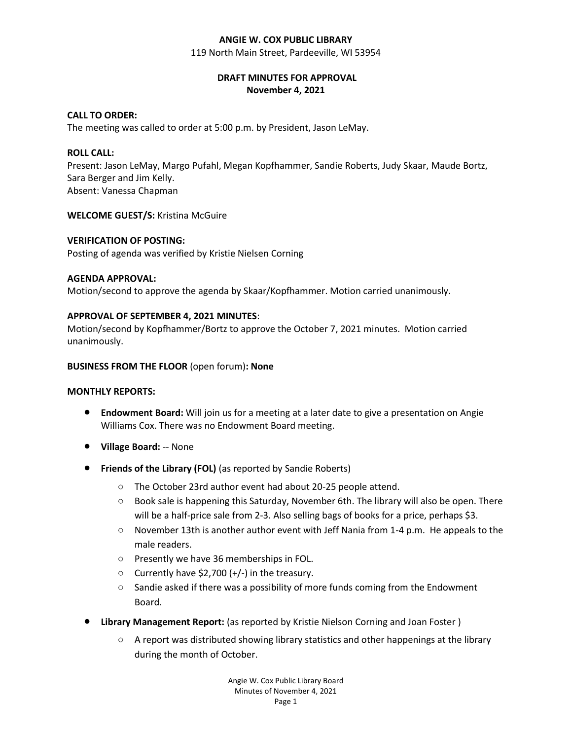### **ANGIE W. COX PUBLIC LIBRARY**

119 North Main Street, Pardeeville, WI 53954

# **DRAFT MINUTES FOR APPROVAL November 4, 2021**

# **CALL TO ORDER:**

The meeting was called to order at 5:00 p.m. by President, Jason LeMay.

## **ROLL CALL:**

Present: Jason LeMay, Margo Pufahl, Megan Kopfhammer, Sandie Roberts, Judy Skaar, Maude Bortz, Sara Berger and Jim Kelly. Absent: Vanessa Chapman

**WELCOME GUEST/S:** Kristina McGuire

### **VERIFICATION OF POSTING:**

Posting of agenda was verified by Kristie Nielsen Corning

#### **AGENDA APPROVAL:**

Motion/second to approve the agenda by Skaar/Kopfhammer. Motion carried unanimously.

### **APPROVAL OF SEPTEMBER 4, 2021 MINUTES**:

Motion/second by Kopfhammer/Bortz to approve the October 7, 2021 minutes. Motion carried unanimously.

#### **BUSINESS FROM THE FLOOR** (open forum)**: None**

## **MONTHLY REPORTS:**

- **Endowment Board:** Will join us for a meeting at a later date to give a presentation on Angie Williams Cox. There was no Endowment Board meeting.
- **Village Board:** -- None
- **Friends of the Library (FOL)** (as reported by Sandie Roberts)
	- The October 23rd author event had about 20-25 people attend.
	- Book sale is happening this Saturday, November 6th. The library will also be open. There will be a half-price sale from 2-3. Also selling bags of books for a price, perhaps \$3.
	- $\circ$  November 13th is another author event with Jeff Nania from 1-4 p.m. He appeals to the male readers.
	- Presently we have 36 memberships in FOL.
	- Currently have \$2,700 (+/-) in the treasury.
	- $\circ$  Sandie asked if there was a possibility of more funds coming from the Endowment Board.
- **Library Management Report:** (as reported by Kristie Nielson Corning and Joan Foster )
	- A report was distributed showing library statistics and other happenings at the library during the month of October.